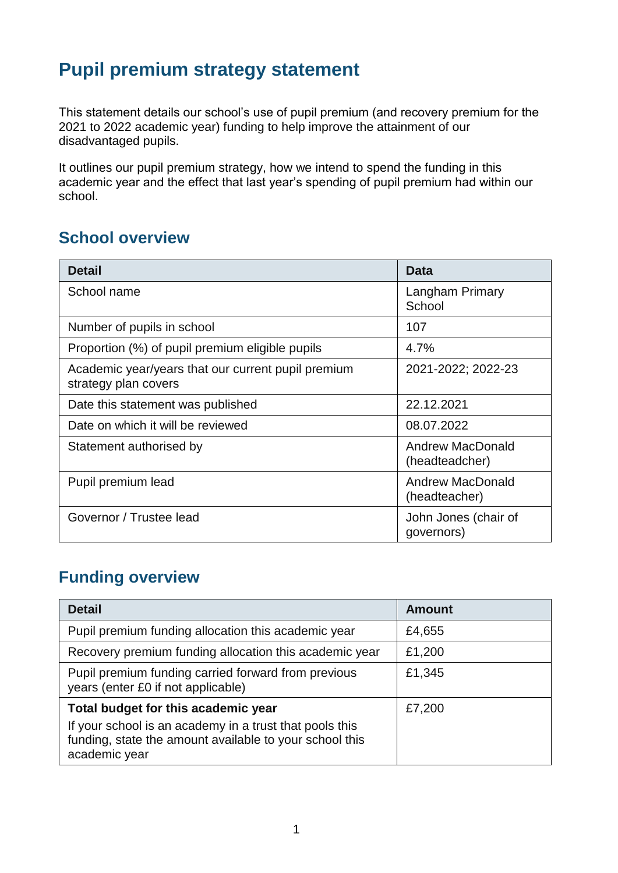# **Pupil premium strategy statement**

This statement details our school's use of pupil premium (and recovery premium for the 2021 to 2022 academic year) funding to help improve the attainment of our disadvantaged pupils.

It outlines our pupil premium strategy, how we intend to spend the funding in this academic year and the effect that last year's spending of pupil premium had within our school.

### **School overview**

| <b>Detail</b>                                                              | <b>Data</b>                               |
|----------------------------------------------------------------------------|-------------------------------------------|
| School name                                                                | Langham Primary<br>School                 |
| Number of pupils in school                                                 | 107                                       |
| Proportion (%) of pupil premium eligible pupils                            | 4.7%                                      |
| Academic year/years that our current pupil premium<br>strategy plan covers | 2021-2022; 2022-23                        |
| Date this statement was published                                          | 22.12.2021                                |
| Date on which it will be reviewed                                          | 08.07.2022                                |
| Statement authorised by                                                    | <b>Andrew MacDonald</b><br>(headteadcher) |
| Pupil premium lead                                                         | <b>Andrew MacDonald</b><br>(headteacher)  |
| Governor / Trustee lead                                                    | John Jones (chair of<br>governors)        |

### **Funding overview**

| <b>Detail</b>                                                                                                                       | <b>Amount</b> |
|-------------------------------------------------------------------------------------------------------------------------------------|---------------|
| Pupil premium funding allocation this academic year                                                                                 | £4,655        |
| Recovery premium funding allocation this academic year                                                                              | £1,200        |
| Pupil premium funding carried forward from previous<br>years (enter £0 if not applicable)                                           | £1,345        |
| Total budget for this academic year                                                                                                 | £7,200        |
| If your school is an academy in a trust that pools this<br>funding, state the amount available to your school this<br>academic year |               |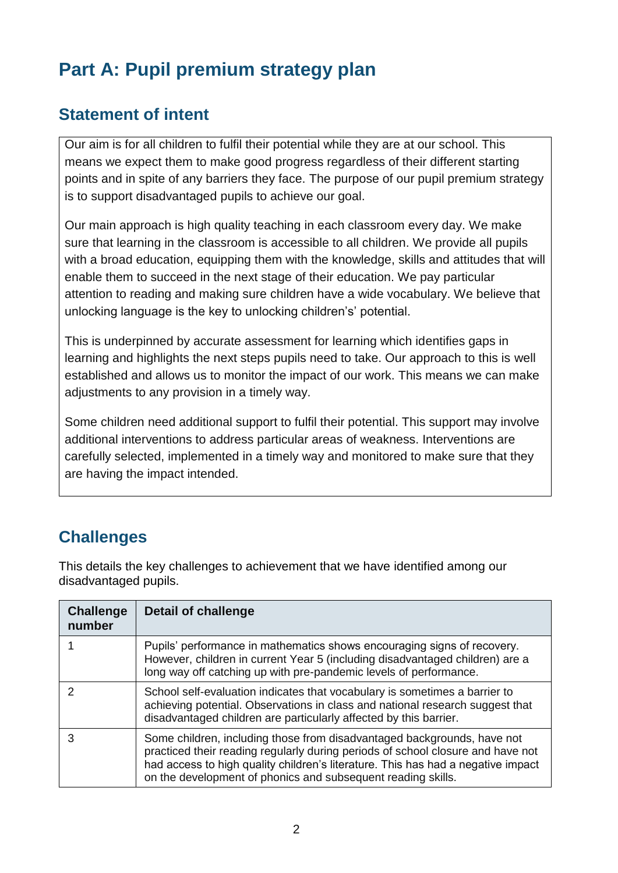# **Part A: Pupil premium strategy plan**

### **Statement of intent**

Our aim is for all children to fulfil their potential while they are at our school. This means we expect them to make good progress regardless of their different starting points and in spite of any barriers they face. The purpose of our pupil premium strategy is to support disadvantaged pupils to achieve our goal.

Our main approach is high quality teaching in each classroom every day. We make sure that learning in the classroom is accessible to all children. We provide all pupils with a broad education, equipping them with the knowledge, skills and attitudes that will enable them to succeed in the next stage of their education. We pay particular attention to reading and making sure children have a wide vocabulary. We believe that unlocking language is the key to unlocking children's' potential.

This is underpinned by accurate assessment for learning which identifies gaps in learning and highlights the next steps pupils need to take. Our approach to this is well established and allows us to monitor the impact of our work. This means we can make adjustments to any provision in a timely way.

Some children need additional support to fulfil their potential. This support may involve additional interventions to address particular areas of weakness. Interventions are carefully selected, implemented in a timely way and monitored to make sure that they are having the impact intended.

### **Challenges**

This details the key challenges to achievement that we have identified among our disadvantaged pupils.

| <b>Challenge</b><br>number | <b>Detail of challenge</b>                                                                                                                                                                                                                                                                                     |
|----------------------------|----------------------------------------------------------------------------------------------------------------------------------------------------------------------------------------------------------------------------------------------------------------------------------------------------------------|
|                            | Pupils' performance in mathematics shows encouraging signs of recovery.<br>However, children in current Year 5 (including disadvantaged children) are a<br>long way off catching up with pre-pandemic levels of performance.                                                                                   |
|                            | School self-evaluation indicates that vocabulary is sometimes a barrier to<br>achieving potential. Observations in class and national research suggest that<br>disadvantaged children are particularly affected by this barrier.                                                                               |
|                            | Some children, including those from disadvantaged backgrounds, have not<br>practiced their reading regularly during periods of school closure and have not<br>had access to high quality children's literature. This has had a negative impact<br>on the development of phonics and subsequent reading skills. |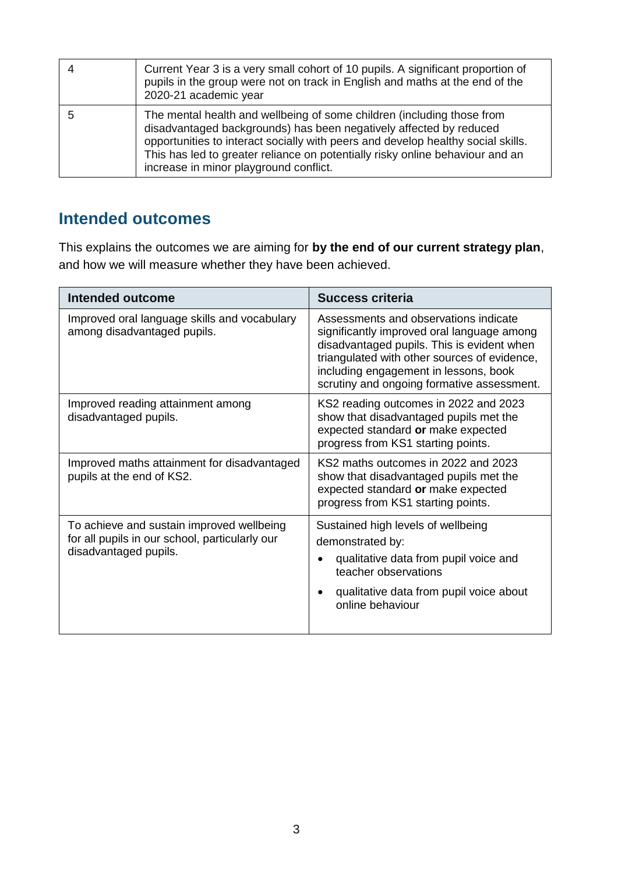| Current Year 3 is a very small cohort of 10 pupils. A significant proportion of<br>pupils in the group were not on track in English and maths at the end of the<br>2020-21 academic year                                                                                                                                                                    |
|-------------------------------------------------------------------------------------------------------------------------------------------------------------------------------------------------------------------------------------------------------------------------------------------------------------------------------------------------------------|
| The mental health and wellbeing of some children (including those from<br>disadvantaged backgrounds) has been negatively affected by reduced<br>opportunities to interact socially with peers and develop healthy social skills.<br>This has led to greater reliance on potentially risky online behaviour and an<br>increase in minor playground conflict. |

#### **Intended outcomes**

This explains the outcomes we are aiming for **by the end of our current strategy plan**, and how we will measure whether they have been achieved.

| <b>Intended outcome</b>                                                                                              | Success criteria                                                                                                                                                                                                                                                         |  |
|----------------------------------------------------------------------------------------------------------------------|--------------------------------------------------------------------------------------------------------------------------------------------------------------------------------------------------------------------------------------------------------------------------|--|
| Improved oral language skills and vocabulary<br>among disadvantaged pupils.                                          | Assessments and observations indicate<br>significantly improved oral language among<br>disadvantaged pupils. This is evident when<br>triangulated with other sources of evidence,<br>including engagement in lessons, book<br>scrutiny and ongoing formative assessment. |  |
| Improved reading attainment among<br>disadvantaged pupils.                                                           | KS2 reading outcomes in 2022 and 2023<br>show that disadvantaged pupils met the<br>expected standard or make expected<br>progress from KS1 starting points.                                                                                                              |  |
| Improved maths attainment for disadvantaged<br>pupils at the end of KS2.                                             | KS2 maths outcomes in 2022 and 2023<br>show that disadvantaged pupils met the<br>expected standard or make expected<br>progress from KS1 starting points.                                                                                                                |  |
| To achieve and sustain improved wellbeing<br>for all pupils in our school, particularly our<br>disadvantaged pupils. | Sustained high levels of wellbeing<br>demonstrated by:<br>qualitative data from pupil voice and<br>teacher observations<br>qualitative data from pupil voice about<br>online behaviour                                                                                   |  |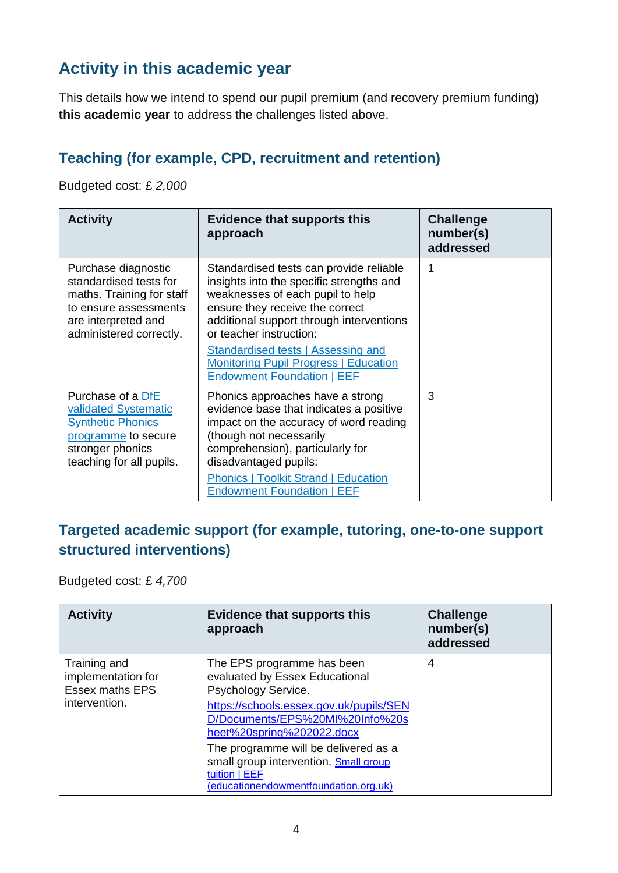### **Activity in this academic year**

This details how we intend to spend our pupil premium (and recovery premium funding) **this academic year** to address the challenges listed above.

#### **Teaching (for example, CPD, recruitment and retention)**

Budgeted cost: £ *2,000*

| <b>Activity</b>                                                                                                                                       | Evidence that supports this<br>approach                                                                                                                                                                                                                                                                                                                             | <b>Challenge</b><br>number(s)<br>addressed |
|-------------------------------------------------------------------------------------------------------------------------------------------------------|---------------------------------------------------------------------------------------------------------------------------------------------------------------------------------------------------------------------------------------------------------------------------------------------------------------------------------------------------------------------|--------------------------------------------|
| Purchase diagnostic<br>standardised tests for<br>maths. Training for staff<br>to ensure assessments<br>are interpreted and<br>administered correctly. | Standardised tests can provide reliable<br>insights into the specific strengths and<br>weaknesses of each pupil to help<br>ensure they receive the correct<br>additional support through interventions<br>or teacher instruction:<br><b>Standardised tests   Assessing and</b><br><b>Monitoring Pupil Progress   Education</b><br><b>Endowment Foundation   EEF</b> |                                            |
| Purchase of a DfE<br>validated Systematic<br><b>Synthetic Phonics</b><br>programme to secure<br>stronger phonics<br>teaching for all pupils.          | Phonics approaches have a strong<br>evidence base that indicates a positive<br>impact on the accuracy of word reading<br>(though not necessarily<br>comprehension), particularly for<br>disadvantaged pupils:<br><b>Phonics   Toolkit Strand   Education</b><br><b>Endowment Foundation   EEF</b>                                                                   | 3                                          |

#### **Targeted academic support (for example, tutoring, one-to-one support structured interventions)**

Budgeted cost: £ *4,700*

| <b>Activity</b>                                                               | <b>Evidence that supports this</b><br>approach                                                                                          | <b>Challenge</b><br>number(s)<br>addressed |
|-------------------------------------------------------------------------------|-----------------------------------------------------------------------------------------------------------------------------------------|--------------------------------------------|
| Training and<br>implementation for<br><b>Essex maths EPS</b><br>intervention. | The EPS programme has been<br>evaluated by Essex Educational<br>Psychology Service.                                                     | 4                                          |
|                                                                               | https://schools.essex.gov.uk/pupils/SEN<br>D/Documents/EPS%20MI%20Info%20s<br>heet%20spring%202022.docx                                 |                                            |
|                                                                               | The programme will be delivered as a<br>small group intervention. Small group<br>tuition   EEF<br>(educationendowmentfoundation.org.uk) |                                            |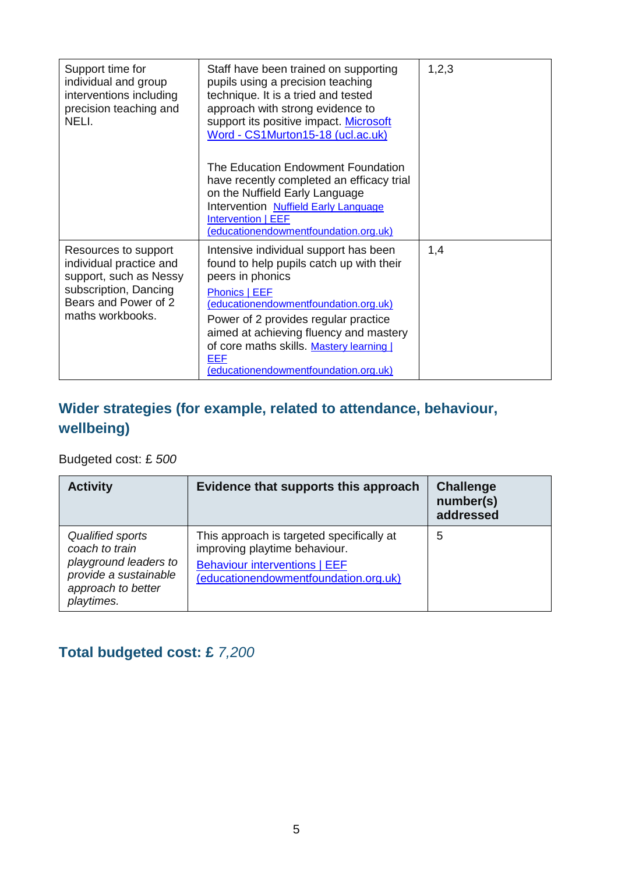| Support time for<br>individual and group<br>interventions including<br>precision teaching and<br>NELI.                                         | Staff have been trained on supporting<br>pupils using a precision teaching<br>technique. It is a tried and tested<br>approach with strong evidence to<br>support its positive impact. Microsoft<br>Word - CS1Murton15-18 (ucl.ac.uk)<br>The Education Endowment Foundation<br>have recently completed an efficacy trial<br>on the Nuffield Early Language<br>Intervention Nuffield Early Language<br>Intervention   EEF<br>(educationendowmentfoundation.org.uk) | 1,2,3 |
|------------------------------------------------------------------------------------------------------------------------------------------------|------------------------------------------------------------------------------------------------------------------------------------------------------------------------------------------------------------------------------------------------------------------------------------------------------------------------------------------------------------------------------------------------------------------------------------------------------------------|-------|
| Resources to support<br>individual practice and<br>support, such as Nessy<br>subscription, Dancing<br>Bears and Power of 2<br>maths workbooks. | Intensive individual support has been<br>found to help pupils catch up with their<br>peers in phonics<br>Phonics   EEF<br>(educationendowmentfoundation.org.uk)<br>Power of 2 provides regular practice<br>aimed at achieving fluency and mastery<br>of core maths skills. Mastery learning  <br><b>EEF</b><br>(educationendowmentfoundation.org.uk)                                                                                                             | 1,4   |

### **Wider strategies (for example, related to attendance, behaviour, wellbeing)**

Budgeted cost: £ *500*

| <b>Activity</b>                                                                                                          | Evidence that supports this approach                                                                                                                        | <b>Challenge</b><br>number(s)<br>addressed |
|--------------------------------------------------------------------------------------------------------------------------|-------------------------------------------------------------------------------------------------------------------------------------------------------------|--------------------------------------------|
| Qualified sports<br>coach to train<br>playground leaders to<br>provide a sustainable<br>approach to better<br>playtimes. | This approach is targeted specifically at<br>improving playtime behaviour.<br><b>Behaviour interventions   EEF</b><br>(educationendowmentfoundation.org.uk) | 5                                          |

### **Total budgeted cost: £** *7,200*